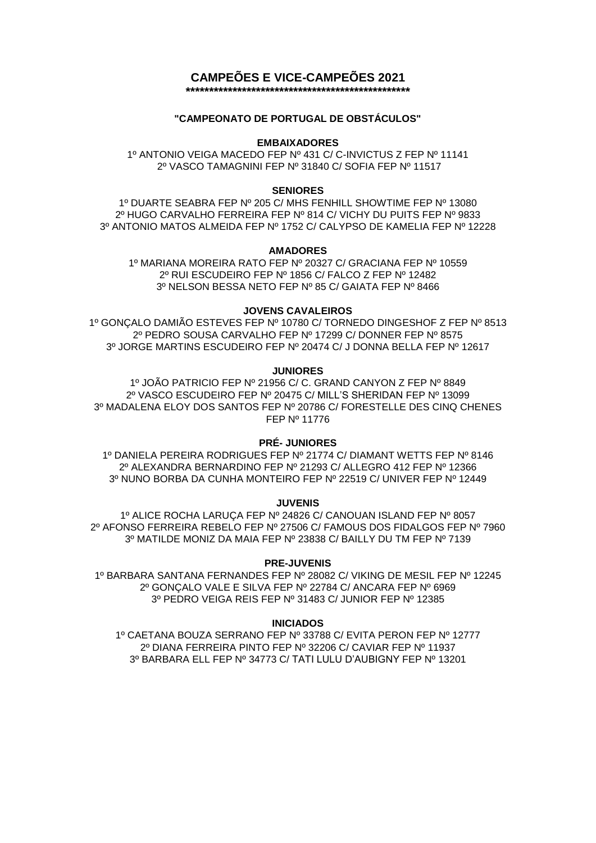# **CAMPEÕES E VICE-CAMPEÕES 2021**

**\*\*\*\*\*\*\*\*\*\*\*\*\*\*\*\*\*\*\*\*\*\*\*\*\*\*\*\*\*\*\*\*\*\*\*\*\*\*\*\*\*\*\*\*\*\*\*\***

# **"CAMPEONATO DE PORTUGAL DE OBSTÁCULOS"**

# **EMBAIXADORES**

1º ANTONIO VEIGA MACEDO FEP Nº 431 C/ C-INVICTUS Z FEP Nº 11141 2º VASCO TAMAGNINI FEP Nº 31840 C/ SOFIA FEP Nº 11517

# **SENIORES**

1º DUARTE SEABRA FEP Nº 205 C/ MHS FENHILL SHOWTIME FEP Nº 13080 2º HUGO CARVALHO FERREIRA FEP Nº 814 C/ VICHY DU PUITS FEP Nº 9833 3º ANTONIO MATOS ALMEIDA FEP Nº 1752 C/ CALYPSO DE KAMELIA FEP Nº 12228

# **AMADORES**

1º MARIANA MOREIRA RATO FEP Nº 20327 C/ GRACIANA FEP Nº 10559 2º RUI ESCUDEIRO FEP Nº 1856 C/ FALCO Z FEP Nº 12482 3º NELSON BESSA NETO FEP Nº 85 C/ GAIATA FEP Nº 8466

# **JOVENS CAVALEIROS**

1º GONÇALO DAMIÃO ESTEVES FEP Nº 10780 C/ TORNEDO DINGESHOF Z FEP Nº 8513 2º PEDRO SOUSA CARVALHO FEP Nº 17299 C/ DONNER FEP Nº 8575 3º JORGE MARTINS ESCUDEIRO FEP Nº 20474 C/ J DONNA BELLA FEP Nº 12617

#### **JUNIORES**

1º JOÃO PATRICIO FEP Nº 21956 C/ C. GRAND CANYON Z FEP Nº 8849 2º VASCO ESCUDEIRO FEP Nº 20475 C/ MILL'S SHERIDAN FEP Nº 13099 3º MADALENA ELOY DOS SANTOS FEP Nº 20786 C/ FORESTELLE DES CINQ CHENES FEP Nº 11776

# **PRÉ- JUNIORES**

1º DANIELA PEREIRA RODRIGUES FEP Nº 21774 C/ DIAMANT WETTS FEP Nº 8146 2º ALEXANDRA BERNARDINO FEP Nº 21293 C/ ALLEGRO 412 FEP Nº 12366 3º NUNO BORBA DA CUNHA MONTEIRO FEP Nº 22519 C/ UNIVER FEP Nº 12449

**JUVENIS**

1º ALICE ROCHA LARUÇA FEP Nº 24826 C/ CANOUAN ISLAND FEP Nº 8057 2º AFONSO FERREIRA REBELO FEP Nº 27506 C/ FAMOUS DOS FIDALGOS FEP Nº 7960 3º MATILDE MONIZ DA MAIA FEP Nº 23838 C/ BAILLY DU TM FEP Nº 7139

# **PRE-JUVENIS**

1º BARBARA SANTANA FERNANDES FEP Nº 28082 C/ VIKING DE MESIL FEP Nº 12245 2º GONÇALO VALE E SILVA FEP Nº 22784 C/ ANCARA FEP Nº 6969 3º PEDRO VEIGA REIS FEP Nº 31483 C/ JUNIOR FEP Nº 12385

# **INICIADOS**

1º CAETANA BOUZA SERRANO FEP Nº 33788 C/ EVITA PERON FEP Nº 12777 2º DIANA FERREIRA PINTO FEP Nº 32206 C/ CAVIAR FEP Nº 11937 3º BARBARA ELL FEP Nº 34773 C/ TATI LULU D'AUBIGNY FEP Nº 13201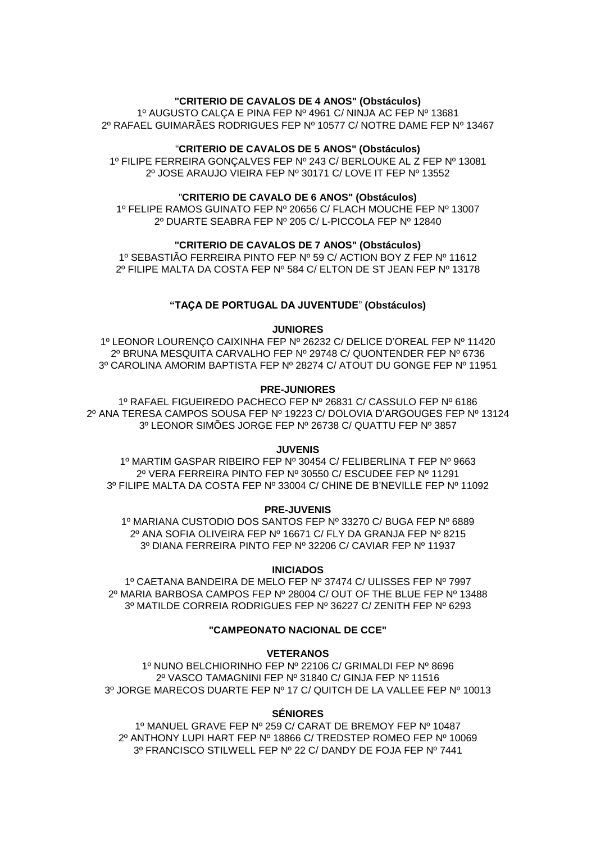# **"CRITERIO DE CAVALOS DE 4 ANOS" (Obstáculos)**

1º AUGUSTO CALÇA E PINA FEP Nº 4961 C/ NINJA AC FEP Nº 13681 2º RAFAEL GUIMARÃES RODRIGUES FEP Nº 10577 C/ NOTRE DAME FEP Nº 13467

# "**CRITERIO DE CAVALOS DE 5 ANOS" (Obstáculos)**

1º FILIPE FERREIRA GONÇALVES FEP Nº 243 C/ BERLOUKE AL Z FEP Nº 13081 2º JOSE ARAUJO VIEIRA FEP Nº 30171 C/ LOVE IT FEP Nº 13552

### "**CRITERIO DE CAVALO DE 6 ANOS" (Obstáculos)**

1º FELIPE RAMOS GUINATO FEP Nº 20656 C/ FLACH MOUCHE FEP Nº 13007 2º DUARTE SEABRA FEP Nº 205 C/ L-PICCOLA FEP Nº 12840

# **"CRITERIO DE CAVALOS DE 7 ANOS" (Obstáculos)**

1º SEBASTIÃO FERREIRA PINTO FEP Nº 59 C/ ACTION BOY Z FEP Nº 11612 2º FILIPE MALTA DA COSTA FEP Nº 584 C/ ELTON DE ST JEAN FEP Nº 13178

### **"TAÇA DE PORTUGAL DA JUVENTUDE**" **(Obstáculos)**

#### **JUNIORES**

1º LEONOR LOURENÇO CAIXINHA FEP Nº 26232 C/ DELICE D'OREAL FEP Nº 11420 2º BRUNA MESQUITA CARVALHO FEP Nº 29748 C/ QUONTENDER FEP Nº 6736 3º CAROLINA AMORIM BAPTISTA FEP Nº 28274 C/ ATOUT DU GONGE FEP Nº 11951

# **PRE-JUNIORES**

1º RAFAEL FIGUEIREDO PACHECO FEP Nº 26831 C/ CASSULO FEP Nº 6186 2º ANA TERESA CAMPOS SOUSA FEP Nº 19223 C/ DOLOVIA D'ARGOUGES FEP Nº 13124 3º LEONOR SIMÕES JORGE FEP Nº 26738 C/ QUATTU FEP Nº 3857

#### **JUVENIS**

1º MARTIM GASPAR RIBEIRO FEP Nº 30454 C/ FELIBERLINA T FEP Nº 9663 2º VERA FERREIRA PINTO FEP Nº 30550 C/ ESCUDEE FEP Nº 11291 3º FILIPE MALTA DA COSTA FEP Nº 33004 C/ CHINE DE B'NEVILLE FEP Nº 11092

### **PRE-JUVENIS**

1º MARIANA CUSTODIO DOS SANTOS FEP Nº 33270 C/ BUGA FEP Nº 6889 2º ANA SOFIA OLIVEIRA FEP Nº 16671 C/ FLY DA GRANJA FEP Nº 8215 3º DIANA FERREIRA PINTO FEP Nº 32206 C/ CAVIAR FEP Nº 11937

#### **INICIADOS**

1º CAETANA BANDEIRA DE MELO FEP Nº 37474 C/ ULISSES FEP Nº 7997 2º MARIA BARBOSA CAMPOS FEP Nº 28004 C/ OUT OF THE BLUE FEP Nº 13488 3º MATILDE CORREIA RODRIGUES FEP Nº 36227 C/ ZENITH FEP Nº 6293

# **"CAMPEONATO NACIONAL DE CCE"**

#### **VETERANOS**

1º NUNO BELCHIORINHO FEP Nº 22106 C/ GRIMALDI FEP Nº 8696 2º VASCO TAMAGNINI FEP Nº 31840 C/ GINJA FEP Nº 11516 3º JORGE MARECOS DUARTE FEP Nº 17 C/ QUITCH DE LA VALLEE FEP Nº 10013

#### **SÉNIORES**

1º MANUEL GRAVE FEP Nº 259 C/ CARAT DE BREMOY FEP Nº 10487 2º ANTHONY LUPI HART FEP Nº 18866 C/ TREDSTEP ROMEO FEP Nº 10069 3º FRANCISCO STILWELL FEP Nº 22 C/ DANDY DE FOJA FEP Nº 7441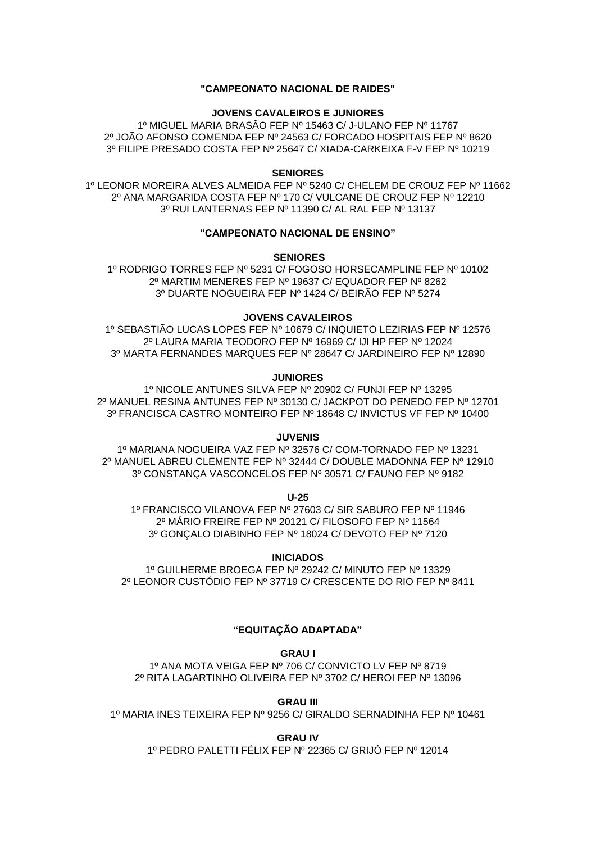# **"CAMPEONATO NACIONAL DE RAIDES"**

# **JOVENS CAVALEIROS E JUNIORES**

1º MIGUEL MARIA BRASÃO FEP Nº 15463 C/ J-ULANO FEP Nº 11767 2º JOÃO AFONSO COMENDA FEP Nº 24563 C/ FORCADO HOSPITAIS FEP Nº 8620 3º FILIPE PRESADO COSTA FEP Nº 25647 C/ XIADA-CARKEIXA F-V FEP Nº 10219

### **SENIORES**

1º LEONOR MOREIRA ALVES ALMEIDA FEP Nº 5240 C/ CHELEM DE CROUZ FEP Nº 11662 2º ANA MARGARIDA COSTA FEP Nº 170 C/ VULCANE DE CROUZ FEP Nº 12210 3º RUI LANTERNAS FEP Nº 11390 C/ AL RAL FEP Nº 13137

# **"CAMPEONATO NACIONAL DE ENSINO"**

**SENIORES**

1º RODRIGO TORRES FEP Nº 5231 C/ FOGOSO HORSECAMPLINE FEP Nº 10102 2º MARTIM MENERES FEP Nº 19637 C/ EQUADOR FEP Nº 8262 3º DUARTE NOGUEIRA FEP Nº 1424 C/ BEIRÃO FEP Nº 5274

#### **JOVENS CAVALEIROS**

1º SEBASTIÃO LUCAS LOPES FEP Nº 10679 C/ INQUIETO LEZIRIAS FEP Nº 12576 2º LAURA MARIA TEODORO FEP Nº 16969 C/ IJI HP FEP Nº 12024 3º MARTA FERNANDES MARQUES FEP Nº 28647 C/ JARDINEIRO FEP Nº 12890

# **JUNIORES**

1º NICOLE ANTUNES SILVA FEP Nº 20902 C/ FUNJI FEP Nº 13295 2º MANUEL RESINA ANTUNES FEP Nº 30130 C/ JACKPOT DO PENEDO FEP Nº 12701 3º FRANCISCA CASTRO MONTEIRO FEP Nº 18648 C/ INVICTUS VF FEP Nº 10400

#### **JUVENIS**

1º MARIANA NOGUEIRA VAZ FEP Nº 32576 C/ COM-TORNADO FEP Nº 13231 2º MANUEL ABREU CLEMENTE FEP Nº 32444 C/ DOUBLE MADONNA FEP Nº 12910 3º CONSTANÇA VASCONCELOS FEP Nº 30571 C/ FAUNO FEP Nº 9182

**U-25**

1º FRANCISCO VILANOVA FEP Nº 27603 C/ SIR SABURO FEP Nº 11946 2º MÁRIO FREIRE FEP Nº 20121 C/ FILOSOFO FEP Nº 11564 3º GONÇALO DIABINHO FEP Nº 18024 C/ DEVOTO FEP Nº 7120

**INICIADOS** 1º GUILHERME BROEGA FEP Nº 29242 C/ MINUTO FEP Nº 13329

2º LEONOR CUSTÓDIO FEP Nº 37719 C/ CRESCENTE DO RIO FEP Nº 8411

# **"EQUITAÇÃO ADAPTADA"**

**GRAU I**

1º ANA MOTA VEIGA FEP Nº 706 C/ CONVICTO LV FEP Nº 8719 2º RITA LAGARTINHO OLIVEIRA FEP Nº 3702 C/ HEROI FEP Nº 13096

**GRAU III**

1º MARIA INES TEIXEIRA FEP Nº 9256 C/ GIRALDO SERNADINHA FEP Nº 10461

**GRAU IV**

1º PEDRO PALETTI FÉLIX FEP Nº 22365 C/ GRIJÓ FEP Nº 12014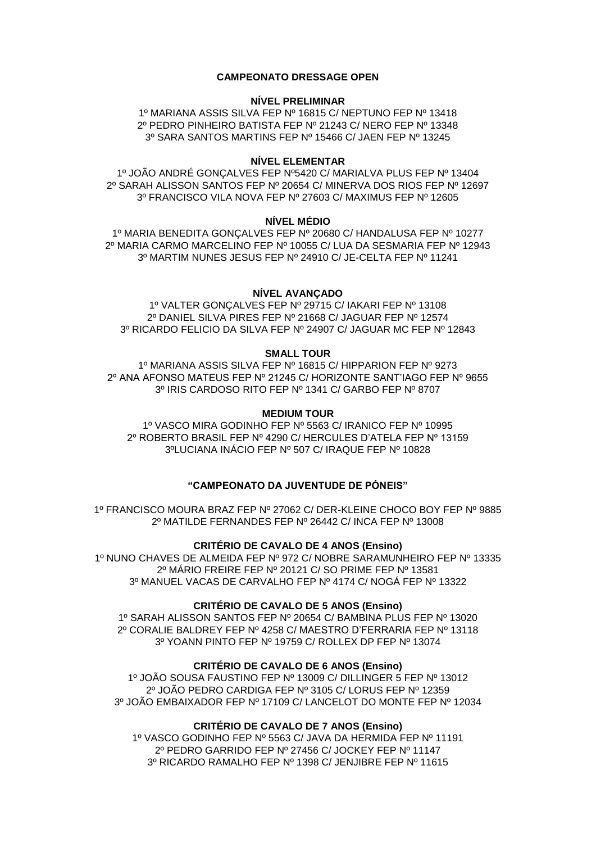# **CAMPEONATO DRESSAGE OPEN**

# **NÍVEL PRELIMINAR**

1º MARIANA ASSIS SILVA FEP Nº 16815 C/ NEPTUNO FEP Nº 13418 2º PEDRO PINHEIRO BATISTA FEP Nº 21243 C/ NERO FEP Nº 13348 3º SARA SANTOS MARTINS FEP Nº 15466 C/ JAEN FEP Nº 13245

# **NÍVEL ELEMENTAR**

1º JOÃO ANDRÉ GONÇALVES FEP Nº5420 C/ MARIALVA PLUS FEP Nº 13404 2º SARAH ALISSON SANTOS FEP Nº 20654 C/ MINERVA DOS RIOS FEP Nº 12697 3º FRANCISCO VILA NOVA FEP Nº 27603 C/ MAXIMUS FEP Nº 12605

### **NÍVEL MÉDIO**

1º MARIA BENEDITA GONÇALVES FEP Nº 20680 C/ HANDALUSA FEP Nº 10277 2º MARIA CARMO MARCELINO FEP Nº 10055 C/ LUA DA SESMARIA FEP Nº 12943 3º MARTIM NUNES JESUS FEP Nº 24910 C/ JE-CELTA FEP Nº 11241

# **NÍVEL AVANÇADO**

1º VALTER GONÇALVES FEP Nº 29715 C/ IAKARI FEP Nº 13108 2º DANIEL SILVA PIRES FEP Nº 21668 C/ JAGUAR FEP Nº 12574 3º RICARDO FELICIO DA SILVA FEP Nº 24907 C/ JAGUAR MC FEP Nº 12843

### **SMALL TOUR**

1º MARIANA ASSIS SILVA FEP Nº 16815 C/ HIPPARION FEP Nº 9273 2º ANA AFONSO MATEUS FEP Nº 21245 C/ HORIZONTE SANT'IAGO FEP Nº 9655 3º IRIS CARDOSO RITO FEP Nº 1341 C/ GARBO FEP Nº 8707

# **MEDIUM TOUR**

1º VASCO MIRA GODINHO FEP Nº 5563 C/ IRANICO FEP Nº 10995 2º ROBERTO BRASIL FEP Nº 4290 C/ HERCULES D'ATELA FEP Nº 13159 3ºLUCIANA INÁCIO FEP Nº 507 C/ IRAQUE FEP Nº 10828

# **"CAMPEONATO DA JUVENTUDE DE PÓNEIS"**

1º FRANCISCO MOURA BRAZ FEP Nº 27062 C/ DER-KLEINE CHOCO BOY FEP Nº 9885 2º MATILDE FERNANDES FEP Nº 26442 C/ INCA FEP Nº 13008

**CRITÉRIO DE CAVALO DE 4 ANOS (Ensino)** 1º NUNO CHAVES DE ALMEIDA FEP Nº 972 C/ NOBRE SARAMUNHEIRO FEP Nº 13335 2º MÁRIO FREIRE FEP Nº 20121 C/ SO PRIME FEP Nº 13581 3º MANUEL VACAS DE CARVALHO FEP Nº 4174 C/ NOGÁ FEP Nº 13322

# **CRITÉRIO DE CAVALO DE 5 ANOS (Ensino)**

1º SARAH ALISSON SANTOS FEP Nº 20654 C/ BAMBINA PLUS FEP Nº 13020 2º CORALIE BALDREY FEP Nº 4258 C/ MAESTRO D'FERRARIA FEP Nº 13118 3º YOANN PINTO FEP Nº 19759 C/ ROLLEX DP FEP Nº 13074

# **CRITÉRIO DE CAVALO DE 6 ANOS (Ensino)**

1º JOÃO SOUSA FAUSTINO FEP Nº 13009 C/ DILLINGER 5 FEP Nº 13012 2º JOÃO PEDRO CARDIGA FEP Nº 3105 C/ LORUS FEP Nº 12359 3º JOÃO EMBAIXADOR FEP Nº 17109 C/ LANCELOT DO MONTE FEP Nº 12034

# **CRITÉRIO DE CAVALO DE 7 ANOS (Ensino)**

1º VASCO GODINHO FEP Nº 5563 C/ JAVA DA HERMIDA FEP Nº 11191 2º PEDRO GARRIDO FEP Nº 27456 C/ JOCKEY FEP Nº 11147 3º RICARDO RAMALHO FEP Nº 1398 C/ JENJIBRE FEP Nº 11615